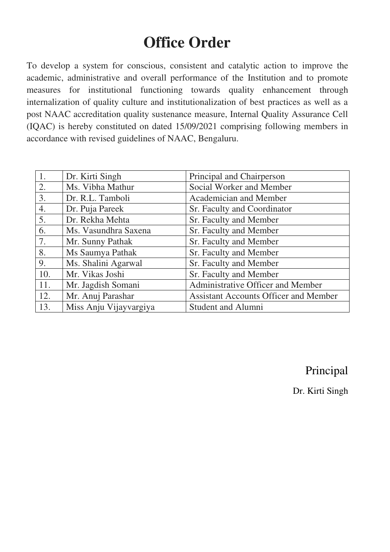# **Office Order**

To develop a system for conscious, consistent and catalytic action to improve the academic, administrative and overall performance of the Institution and to promote measures for institutional functioning towards quality enhancement through internalization of quality culture and institutionalization of best practices as well as a post NAAC accreditation quality sustenance measure, Internal Quality Assurance Cell (IQAC) is hereby constituted on dated 15/09/2021 comprising following members in accordance with revised guidelines of NAAC, Bengaluru.

| $\overline{1}$ . | Dr. Kirti Singh        | Principal and Chairperson                    |
|------------------|------------------------|----------------------------------------------|
| 2.               | Ms. Vibha Mathur       | Social Worker and Member                     |
| 3.               | Dr. R.L. Tamboli       | Academician and Member                       |
| 4.               | Dr. Puja Pareek        | Sr. Faculty and Coordinator                  |
| 5.               | Dr. Rekha Mehta        | Sr. Faculty and Member                       |
| 6.               | Ms. Vasundhra Saxena   | Sr. Faculty and Member                       |
| 7.               | Mr. Sunny Pathak       | Sr. Faculty and Member                       |
| 8.               | Ms Saumya Pathak       | Sr. Faculty and Member                       |
| 9.               | Ms. Shalini Agarwal    | Sr. Faculty and Member                       |
| 10.              | Mr. Vikas Joshi        | Sr. Faculty and Member                       |
| 11.              | Mr. Jagdish Somani     | Administrative Officer and Member            |
| 12.              | Mr. Anuj Parashar      | <b>Assistant Accounts Officer and Member</b> |
| 13.              | Miss Anju Vijayvargiya | <b>Student and Alumni</b>                    |

## Principal

Dr. Kirti Singh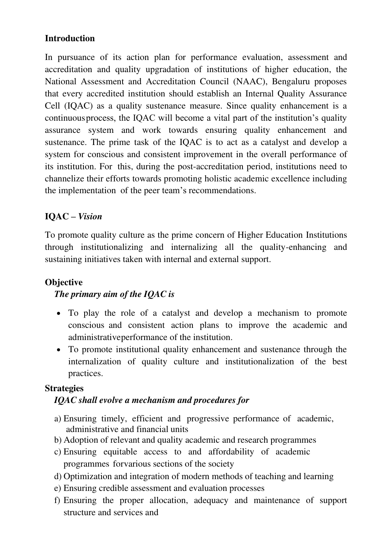### **Introduction**

In pursuance of its action plan for performance evaluation, assessment and accreditation and quality upgradation of institutions of higher education, the National Assessment and Accreditation Council (NAAC), Bengaluru proposes that every accredited institution should establish an Internal Quality Assurance Cell (IQAC) as a quality sustenance measure. Since quality enhancement is a continuous process, the IQAC will become a vital part of the institution's quality assurance system and work towards ensuring quality enhancement and sustenance. The prime task of the IQAC is to act as a catalyst and develop a system for conscious and consistent improvement in the overall performance of its institution. For this, during the post-accreditation period, institutions need to channelize their efforts towards promoting holistic academic excellence including the implementation of the peer team's recommendations.

### **IQAC –** *Vision*

To promote quality culture as the prime concern of Higher Education Institutions through institutionalizing and internalizing all the quality-enhancing and sustaining initiatives taken with internal and external support.

## **Objective**

#### *The primary aim of the IQAC is*

- To play the role of a catalyst and develop a mechanism to promote conscious and consistent action plans to improve the academic and administrative performance of the institution.
- To promote institutional quality enhancement and sustenance through the internalization of quality culture and institutionalization of the best practices.

#### **Strategies**

#### *IQAC shall evolve a mechanism and procedures for*

- a) Ensuring timely, efficient and progressive performance of academic, administrative and financial units
- b) Adoption of relevant and quality academic and research programmes
- c) Ensuring equitable access to and affordability of academic programmes for various sections of the society
- d) Optimization and integration of modern methods of teaching and learning
- e) Ensuring credible assessment and evaluation processes
- f) Ensuring the proper allocation, adequacy and maintenance of support structure and services and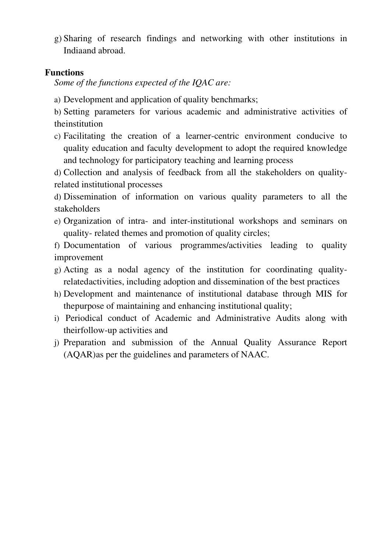g) Sharing of research findings and networking with other institutions in India and abroad.

#### **Functions**

*Some of the functions expected of the IQAC are:* 

a) Development and application of quality benchmarks;

b) Setting parameters for various academic and administrative activities of theinstitution

c) Facilitating the creation of a learner-centric environment conducive to quality education and faculty development to adopt the required knowledge and technology for participatory teaching and learning process

d) Collection and analysis of feedback from all the stakeholders on qualityrelated institutional processes

d) Dissemination of information on various quality parameters to all the stakeholders

e) Organization of intra- and inter-institutional workshops and seminars on quality- related themes and promotion of quality circles;

f) Documentation of various programmes/activities leading to quality improvement

- g) Acting as a nodal agency of the institution for coordinating qualityrelated activities, including adoption and dissemination of the best practices
- h) Development and maintenance of institutional database through MIS for the purpose of maintaining and enhancing institutional quality;
- i) Periodical conduct of Academic and Administrative Audits along with their follow-up activities and
- j) Preparation and submission of the Annual Quality Assurance Report (AQAR) as per the guidelines and parameters of NAAC.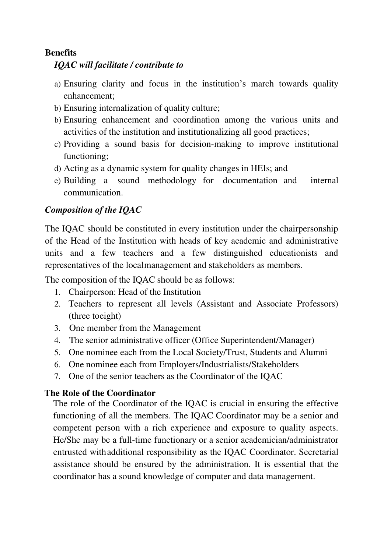#### **Benefits**

#### *IQAC will facilitate / contribute to*

- a) Ensuring clarity and focus in the institution's march towards quality enhancement;
- b) Ensuring internalization of quality culture;
- b) Ensuring enhancement and coordination among the various units and activities of the institution and institutionalizing all good practices;
- c) Providing a sound basis for decision-making to improve institutional functioning;
- d) Acting as a dynamic system for quality changes in HEIs; and
- e) Building a sound methodology for documentation and internal communication.

## *Composition of the IQAC*

The IQAC should be constituted in every institution under the chairpersonship of the Head of the Institution with heads of key academic and administrative units and a few teachers and a few distinguished educationists and representatives of the local management and stakeholders as members.

The composition of the IQAC should be as follows:

- 1. Chairperson: Head of the Institution
- 2. Teachers to represent all levels (Assistant and Associate Professors) (three to eight)
- 3. One member from the Management
- 4. The senior administrative officer (Office Superintendent/Manager)
- 5. One nominee each from the Local Society/Trust, Students and Alumni
- 6. One nominee each from Employers/Industrialists/Stakeholders
- 7. One of the senior teachers as the Coordinator of the IQAC

#### **The Role of the Coordinator**

The role of the Coordinator of the IQAC is crucial in ensuring the effective functioning of all the members. The IQAC Coordinator may be a senior and competent person with a rich experience and exposure to quality aspects. He/She may be a full-time functionary or a senior academician/administrator entrusted with additional responsibility as the IQAC Coordinator. Secretarial assistance should be ensured by the administration. It is essential that the coordinator has a sound knowledge of computer and data management.